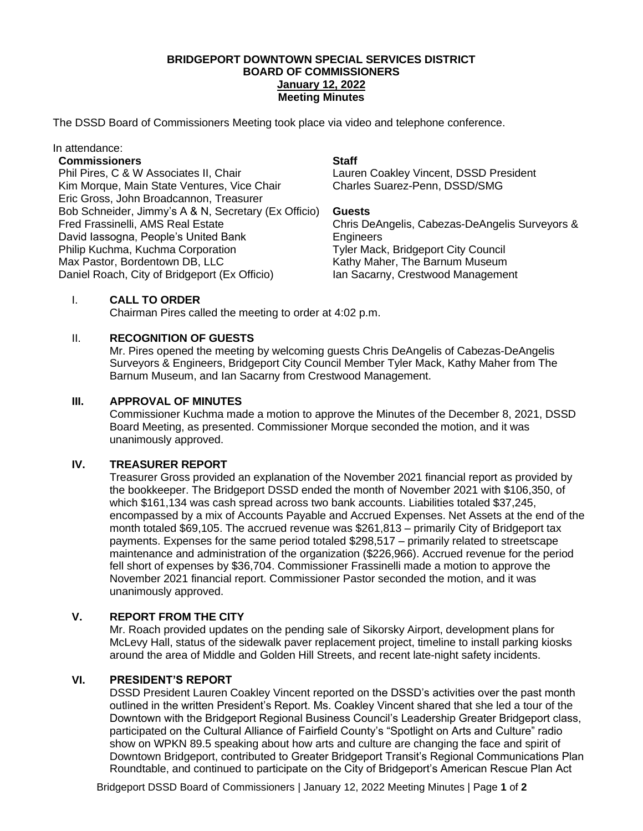#### **BRIDGEPORT DOWNTOWN SPECIAL SERVICES DISTRICT BOARD OF COMMISSIONERS January 12, 2022 Meeting Minutes**

The DSSD Board of Commissioners Meeting took place via video and telephone conference.

#### In attendance:

#### **Commissioners**

Phil Pires, C & W Associates II, Chair Kim Morque, Main State Ventures, Vice Chair Eric Gross, John Broadcannon, Treasurer Bob Schneider, Jimmy's A & N, Secretary (Ex Officio) **Guests** Fred Frassinelli, AMS Real Estate David Iassogna, People's United Bank Philip Kuchma, Kuchma Corporation Max Pastor, Bordentown DB, LLC Daniel Roach, City of Bridgeport (Ex Officio)

#### **Staff**

Lauren Coakley Vincent, DSSD President Charles Suarez-Penn, DSSD/SMG

Chris DeAngelis, Cabezas-DeAngelis Surveyors & Engineers Tyler Mack, Bridgeport City Council Kathy Maher, The Barnum Museum Ian Sacarny, Crestwood Management

# I. **CALL TO ORDER**

Chairman Pires called the meeting to order at 4:02 p.m.

# II. **RECOGNITION OF GUESTS**

Mr. Pires opened the meeting by welcoming guests Chris DeAngelis of Cabezas-DeAngelis Surveyors & Engineers, Bridgeport City Council Member Tyler Mack, Kathy Maher from The Barnum Museum, and Ian Sacarny from Crestwood Management.

## **III. APPROVAL OF MINUTES**

Commissioner Kuchma made a motion to approve the Minutes of the December 8, 2021, DSSD Board Meeting, as presented. Commissioner Morque seconded the motion, and it was unanimously approved.

## **IV. TREASURER REPORT**

Treasurer Gross provided an explanation of the November 2021 financial report as provided by the bookkeeper. The Bridgeport DSSD ended the month of November 2021 with \$106,350, of which \$161,134 was cash spread across two bank accounts. Liabilities totaled \$37,245, encompassed by a mix of Accounts Payable and Accrued Expenses. Net Assets at the end of the month totaled \$69,105. The accrued revenue was \$261,813 – primarily City of Bridgeport tax payments. Expenses for the same period totaled \$298,517 – primarily related to streetscape maintenance and administration of the organization (\$226,966). Accrued revenue for the period fell short of expenses by \$36,704. Commissioner Frassinelli made a motion to approve the November 2021 financial report. Commissioner Pastor seconded the motion, and it was unanimously approved.

## **V. REPORT FROM THE CITY**

Mr. Roach provided updates on the pending sale of Sikorsky Airport, development plans for McLevy Hall, status of the sidewalk paver replacement project, timeline to install parking kiosks around the area of Middle and Golden Hill Streets, and recent late-night safety incidents.

#### **VI. PRESIDENT'S REPORT**

DSSD President Lauren Coakley Vincent reported on the DSSD's activities over the past month outlined in the written President's Report. Ms. Coakley Vincent shared that she led a tour of the Downtown with the Bridgeport Regional Business Council's Leadership Greater Bridgeport class, participated on the Cultural Alliance of Fairfield County's "Spotlight on Arts and Culture" radio show on WPKN 89.5 speaking about how arts and culture are changing the face and spirit of Downtown Bridgeport, contributed to Greater Bridgeport Transit's Regional Communications Plan Roundtable, and continued to participate on the City of Bridgeport's American Rescue Plan Act